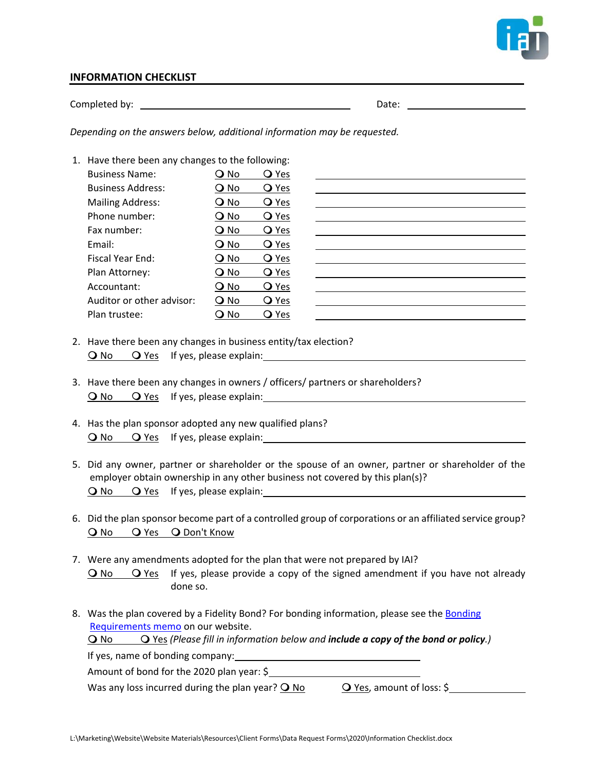

## **INFORMATION CHECKLIST**

 $\begin{array}{ccc} \hbox{Complete} & \hbox{by:} & \begin{array}{ccc} & \hbox{Date:} & \hbox{Date:} \end{array} \end{array}$ 

*Depending on the answers below, additional information may be requested.*

| O No   | <b>O</b> Yes |                                                  |  |  |
|--------|--------------|--------------------------------------------------|--|--|
| O No   | <b>O</b> Yes |                                                  |  |  |
| O No   | <b>O</b> Yes |                                                  |  |  |
| O No   | <b>O</b> Yes |                                                  |  |  |
| O No   | <b>Q</b> Yes |                                                  |  |  |
| O No   | <b>O</b> Yes |                                                  |  |  |
| O No   | <b>O</b> Yes |                                                  |  |  |
| O No   | <b>O</b> Yes |                                                  |  |  |
| O No   | <b>Q</b> Yes |                                                  |  |  |
| $Q$ No | <b>O</b> Yes |                                                  |  |  |
| O No   | <b>O</b> Yes |                                                  |  |  |
|        |              | 1. Have there been any changes to the following: |  |  |

- 2. Have there been any changes in business entity/tax election? O No O Yes If yes, please explain:
- 3. Have there been any changes in owners / officers/ partners or shareholders? O No O Yes If yes, please explain:
- 4. Has the plan sponsor adopted any new qualified plans? O No O Yes If yes, please explain:
- 5. Did any owner, partner or shareholder or the spouse of an owner, partner or shareholder of the employer obtain ownership in any other business not covered by this plan(s)? **O** No **O** Yes If yes, please explain:
- 6. Did the plan sponsor become part of a controlled group of corporations or an affiliated service group? O No O Yes O Don't Know
- 7. Were any amendments adopted for the plan that were not prepared by IAI? O No O Yes If yes, please provide a copy of the signed amendment if you have not already done so.
- 8. Was the plan covered by a Fidelity Bond? For bonding information, please see the Bonding [Requirements memo o](http://www.independentactuaries.com/wp-content/uploads/2014/09/MEMO-Bonding-Requirements-2014-09-23.pdf)n our website. No Yes *(Please fill in information below and include a copy of the bond or policy.)*

If yes, name of bonding company:

Amount of bond for the 2020 plan year: \$

Was any loss incurred during the plan year?  $\overline{O}$  No  $\overline{O}$  Yes, amount of loss: \$